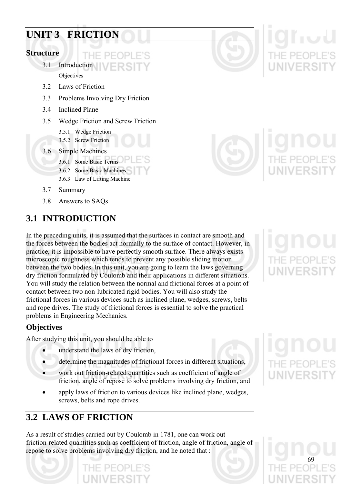# **UNIT 3 FRICTION**

# **Structure**

3.1 Introduction **Objectives** 

 $H = P F$ 

- 3.2 Laws of Friction
- 3.3 Problems Involving Dry Friction
- 3.4 Inclined Plane
- 3.5 Wedge Friction and Screw Friction
	- 3.5.1 Wedge Friction
	- 3.5.2 Screw Friction
- 3.6 Simple Machines
	- 3.6.1 Some Basic Terms
		- 3.6.2 Some Basic Machines
	- 3.6.3 Law of Lifting Machine
- 3.7 Summary
- 3.8 Answers to SAQs

# **3.1 INTRODUCTION**

In the preceding units, it is assumed that the surfaces in contact are smooth and the forces between the bodies act normally to the surface of contact. However, in practice, it is impossible to have perfectly smooth surface. There always exists microscopic roughness which tends to prevent any possible sliding motion between the two bodies. In this unit, you are going to learn the laws governing dry friction formulated by Coulomb and their applications in different situations. You will study the relation between the normal and frictional forces at a point of contact between two non-lubricated rigid bodies. You will also study the frictional forces in various devices such as inclined plane, wedges, screws, belts and rope drives. The study of frictional forces is essential to solve the practical problems in Engineering Mechanics.

# **Objectives**

After studying this unit, you should be able to

- understand the laws of dry friction,
- determine the magnitudes of frictional forces in different situations,
- work out friction-related quantities such as coefficient of angle of friction, angle of repose to solve problems involving dry friction, and
- apply laws of friction to various devices like inclined plane, wedges, screws, belts and rope drives.

# **3.2 LAWS OF FRICTION**

As a result of studies carried out by Coulomb in 1781, one can work out friction-related quantities such as coefficient of friction, angle of friction, angle of repose to solve problems involving dry friction, and he noted that :



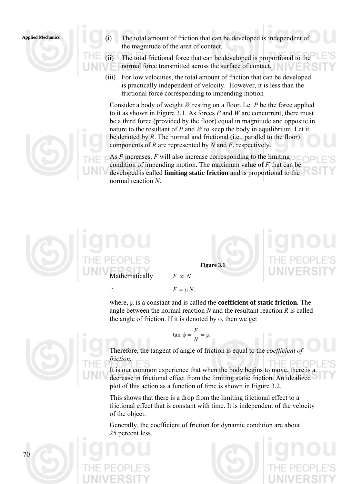

**Applied Mechanics** (i) The total amount of friction that can be developed is independent of the magnitude of the area of contact.

> The total frictional force that can be developed is proportional to the normal force transmitted across the surface of contact.

(iii) For low velocities, the total amount of friction that can be developed is practically independent of velocity. However, it is less than the frictional force corresponding to impending motion

Consider a body of weight *W* resting on a floor. Let *P* be the force applied to it as shown in Figure 3.1. As forces *P* and *W* are concurrent, there must be a third force (provided by the floor) equal in magnitude and opposite in nature to the resultant of *P* and *W* to keep the body in equilibrium. Let it be denoted by *R*. The normal and frictional (i.e., parallel to the floor) components of *R* are represented by *N* and *F*, respectively.

As *P* increases, *F* will also increase corresponding to the limiting condition of impending motion. The maximum value of *F* that can be developed is called **limiting stati**c **friction** and is proportional to the normal reaction *N*.



**Figure 3.1** 

 $\therefore$   $F = \mu N$ .

where, μ is a constant and is called the **coefficient of static friction.** The angle between the normal reaction *N* and the resultant reaction *R* is called the angle of friction. If it is denoted by  $\phi$ , then we get

$$
\tan \phi = \frac{F}{N} = \mu
$$

Therefore, the tangent of angle of friction is equal to the *coefficient of friction.*

It is our common experience that when the body begins to move, there is a decrease in frictional effect from the limiting static friction. An idealized plot of this action as a function of time is shown in Figure 3.2.

This shows that there is a drop from the limiting frictional effect to a frictional effect that is constant with time. It is independent of the velocity of the object.

Generally, the coefficient of friction for dynamic condition are about 25 percent less.



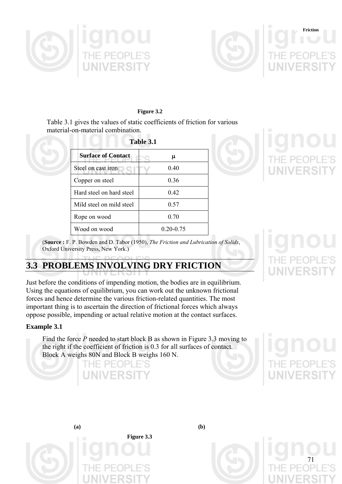



**Figure 3.2** 

Table 3.1 gives the values of static coefficients of friction for various material-on-material combination.

| Table 3.1                 |               |  |  |
|---------------------------|---------------|--|--|
| <b>Surface of Contact</b> | μ             |  |  |
| Steel on cast iron        | 0.40          |  |  |
| Copper on steel           | 0.36          |  |  |
| Hard steel on hard steel  | 0.42          |  |  |
| Mild steel on mild steel  | 0.57          |  |  |
| Rope on wood              | 0.70          |  |  |
| Wood on wood              | $0.20 - 0.75$ |  |  |



(**Source :** F. P. Bowden and D. Tabor (1950), *The Friction and Lubrication of Solids*, Oxford University Press, New York.)

# **3.3 PROBLEMS INVOLVING DRY FRICTION**

Just before the conditions of impending motion, the bodies are in equilibrium. Using the equations of equilibrium, you can work out the unknown frictional forces and hence determine the various friction-related quantities. The most important thing is to ascertain the direction of frictional forces which always oppose possible, impending or actual relative motion at the contact surfaces.

## **Example 3.1**

Find the force *P* needed to start block B as shown in Figure 3.3 moving to the right if the coefficient of friction is 0.3 for all surfaces of contact. Block A weighs 80N and Block B weighs 160 N.



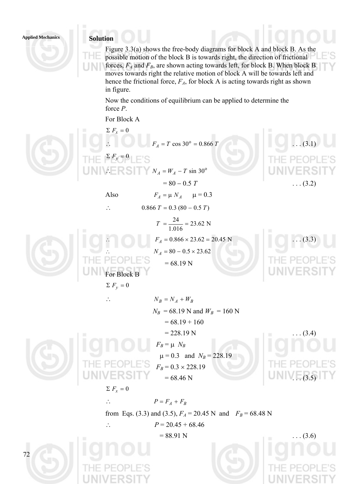### **Applied Mechanics Solution**

Figure 3.3(a) shows the free-body diagrams for block A and block B. As the possible motion of the block B is towards right, the direction of frictional forces,  $F_A$  and  $F_B$ , are shown acting towards left, for block B. When block B moves towards right the relative motion of block A will be towards left and hence the frictional force,  $F_A$ , for block A is acting towards right as shown in figure.

Now the conditions of equilibrium can be applied to determine the force *P*.

For Block A

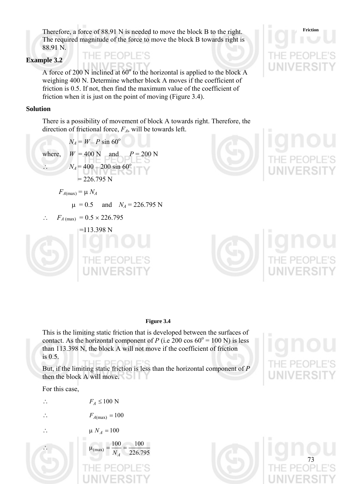**Friction** Therefore, a force of 88.91 N is needed to move the block B to the right. The required magnitude of the force to move the block B towards right is 88.91 N.

### **Example 3.2**

A force of 200 N inclined at  $60^{\circ}$  to the horizontal is applied to the block A weighing 400 N. Determine whether block A moves if the coefficient of friction is 0.5. If not, then find the maximum value of the coefficient of friction when it is just on the point of moving (Figure 3.4).

### **Solution**

There is a possibility of movement of block A towards right. Therefore, the direction of frictional force,  $F_A$ , will be towards left.

$$
N_A = W - P \sin 60^\circ
$$
  
where,  $W = 400 \text{ N}$  and  $P = 200 \text{ N}$   
 $N_A = 400 - 200 \sin 60^\circ$   
 $= 226.795 \text{ N}$   
 $F_{A(\text{max})} = \mu N_A$   
 $\mu = 0.5$  and  $N_A = 226.795 \text{ N}$   
∴  $F_{A(\text{max})} = 0.5 \times 226.795$   
 $= 113.398 \text{ N}$ 







### **Figure 3.4**

This is the limiting static friction that is developed between the surfaces of contact. As the horizontal component of *P* (i.e 200 cos  $60^\circ = 100 \text{ N}$ ) is less than 113.398 N, the block A will not move if the coefficient of friction is 0.5.

But, if the limiting static friction is less than the horizontal component of *P* then the block A will move.

For this case,

∴  $F_A \leq 100$  N

∴  $F_{A(\text{max})} = 100$ 

$$
\therefore \qquad \qquad \mu N_A = 100
$$

$$
\mu_{\text{(max)}} = \frac{100}{N_A} = \frac{100}{226.795}
$$



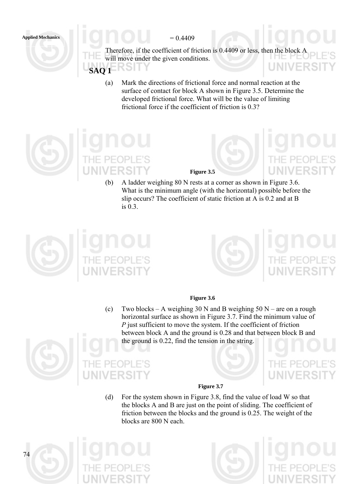

Therefore, if the coefficient of friction is 0.4409 or less, then the block A will move under the given conditions. UNIVER SH **SAQ 1** 

(a) Mark the directions of frictional force and normal reaction at the surface of contact for block A shown in Figure 3.5. Determine the developed frictional force. What will be the value of limiting frictional force if the coefficient of friction is 0.3?



**Figure 3.5** 

(b) A ladder weighing 80 N rests at a corner as shown in Figure 3.6. What is the minimum angle (with the horizontal) possible before the slip occurs? The coefficient of static friction at A is 0.2 and at B is 0.3.





### **Figure 3.6**

(c) Two blocks – A weighing 30 N and B weighing  $50 N$  – are on a rough horizontal surface as shown in Figure 3.7. Find the minimum value of *P* just sufficient to move the system. If the coefficient of friction between block A and the ground is 0.28 and that between block B and the ground is 0.22, find the tension in the string.







(d) For the system shown in Figure 3.8, find the value of load W so that the blocks A and B are just on the point of sliding. The coefficient of friction between the blocks and the ground is 0.25. The weight of the blocks are 800 N each.





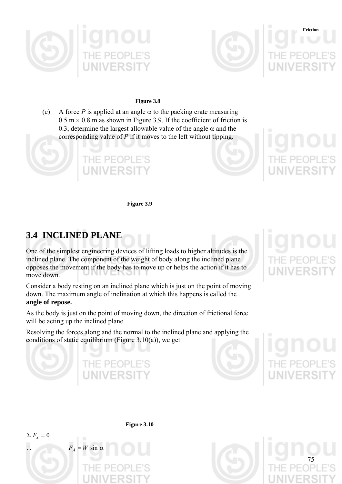



### **Figure 3.8**

(e) A force *P* is applied at an angle  $\alpha$  to the packing crate measuring  $0.5 \text{ m} \times 0.8 \text{ m}$  as shown in Figure 3.9. If the coefficient of friction is 0.3, determine the largest allowable value of the angle  $\alpha$  and the corresponding value of *P* if it moves to the left without tipping.



**Figure 3.9** 

# **3.4 INCLINED PLANE**

One of the simplest engineering devices of lifting loads to higher altitudes is the inclined plane. The component of the weight of body along the inclined plane opposes the movement if the body has to move up or helps the action if it has to move down.

Consider a body resting on an inclined plane which is just on the point of moving down. The maximum angle of inclination at which this happens is called the **angle of repose.** 

As the body is just on the point of moving down, the direction of frictional force will be acting up the inclined plane.

Resolving the forces along and the normal to the inclined plane and applying the conditions of static equilibrium (Figure 3.10(a)), we get

HE PEOPL





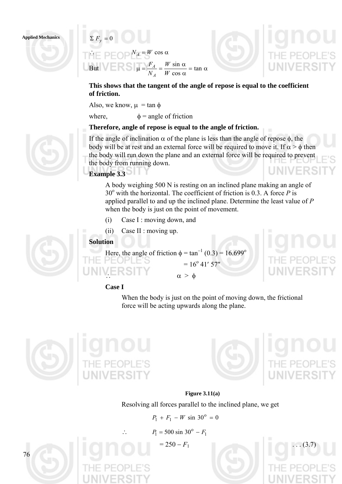### **Applied Mechanics**  $\sum F_v = 0$



**This shows that the tangent of the angle of repose is equal to the coefficient of friction.** 

Also, we know,  $\mu = \tan \phi$ 

where,  $\phi$  = angle of friction

# **Therefore, angle of repose is equal to the angle of friction.**

If the angle of inclination  $\alpha$  of the plane is less than the angle of repose  $\phi$ , the body will be at rest and an external force will be required to move it. If  $\alpha$  >  $\phi$  then the body will run down the plane and an external force will be required to prevent the body from running down. LINIVERS

# **Example 3.3**

A body weighing 500 N is resting on an inclined plane making an angle of  $30^\circ$  with the horizontal. The coefficient of friction is 0.3. A force *P* is applied parallel to and up the inclined plane. Determine the least value of *P* when the body is just on the point of movement.

- (i) Case I : moving down, and
- (ii) Case II : moving up.

## **Solution**



Here, the angle of friction  $\phi = \tan^{-1}(0.3) = 16.699^{\circ}$ 

 $\alpha > \phi$ 

 $= 16^{\circ} 41' 57''$ 

## **Case I**

When the body is just on the point of moving down, the frictional force will be acting upwards along the plane.





**Figure 3.11(a)**  Resolving all forces parallel to the inclined plane, we get

 $P_1 + F_1 - W \sin 30^\circ = 0$ 

 $P_1 = 500 \sin 30^\circ - F_1$ 

 $= 250 - F_1$ 



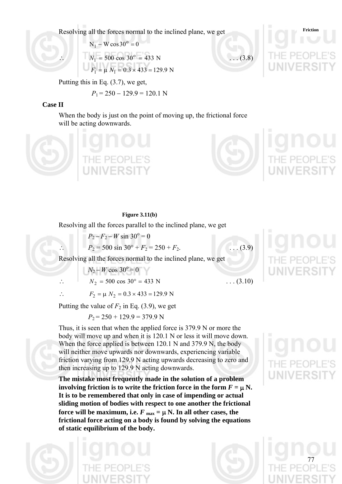Resolving all the forces normal to the inclined plane, we get

$$
N_1 - W \cos 30^\circ = 0
$$
  
\n
$$
N_1 = 500 \cos 30^\circ = 433 \text{ N}
$$
 ... (3.8)  
\n
$$
F_1 = \mu N_1 = 0.3 \times 433 = 129.9 \text{ N}
$$

Putting this in Eq. (3.7), we get,

 $P_1 = 250 - 129.9 = 120.1$  N

## **Case II**

When the body is just on the point of moving up, the frictional force will be acting downwards.



## **Figure 3.11(b)**

Resolving all the forces parallel to the inclined plane, we get

$$
P_2 - F_2 - W \sin 30^\circ = 0
$$
  
\n
$$
\therefore \qquad P_2 = 500 \sin 30^\circ + F_2 = 250 + F_2.
$$
 ... (3.9)  
\nResolving all the forces normal to the inclined plane, we get  
\n
$$
N_2 - W \cos 30^\circ = 0
$$
  
\n
$$
\therefore \qquad N_2 = 500 \cos 30^\circ = 433 \text{ N}
$$
 ... (3.10)

 $\therefore$   $F_2 = \mu N_2 = 0.3 \times 433 = 129.9 \text{ N}$ 

Putting the value of  $F_2$  in Eq. (3.9), we get

 $P_2 = 250 + 129.9 = 379.9$  N

Thus, it is seen that when the applied force is 379.9 N or more the body will move up and when it is 120.1 N or less it will move down. When the force applied is between 120.1 N and 379.9 N, the body will neither move upwards nor downwards, experiencing variable friction varying from 129.9 N acting upwards decreasing to zero and then increasing up to 129.9 N acting downwards.

**The mistake most frequently made in the solution of a problem involving friction is to write the friction force in the form**  $F = \mu N$ **. It is to be remembered that only in case of impending or actual sliding motion of bodies with respect to one another the frictional force will be maximum, i.e.**  $F_{\text{max}} = \mu N$ **. In all other cases, the frictional force acting on a body is found by solving the equations of static equilibrium of the body.** 





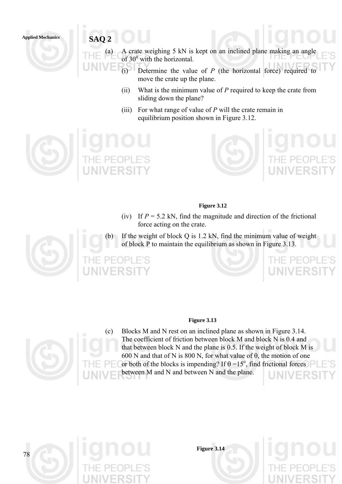**Applied Mechanics SAQ 2** 

- (a) A crate weighing 5 kN is kept on an inclined plane making an angle of 30<sup>°</sup> with the horizontal.
	- (i) Determine the value of *P* (the horizontal force) required to move the crate up the plane.
		- (ii) What is the minimum value of *P* required to keep the crate from sliding down the plane?
		- (iii) For what range of value of *P* will the crate remain in equilibrium position shown in Figure 3.12.



# **Figure 3.12**

(iv) If  $P = 5.2$  kN, find the magnitude and direction of the frictional force acting on the crate.

(b) If the weight of block Q is 1.2 kN, find the minimum value of weight of block P to maintain the equilibrium as shown in Figure 3.13.





## **Figure 3.13**



(c) Blocks M and N rest on an inclined plane as shown in Figure 3.14. The coefficient of friction between block M and block N is 0.4 and that between block N and the plane is 0.5. If the weight of block M is 600 N and that of N is 800 N, for what value of  $\theta$ , the motion of one or both of the blocks is impending? If  $\theta = 15^{\circ}$ , find frictional forces between M and N and between N and the plane.



**Figure 3.14**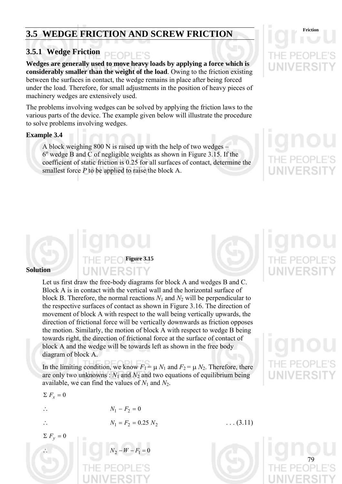# **3.5 WEDGE FRICTION AND SCREW FRICTION**

# **3.5.1 Wedge Friction**

**Wedges are generally used to move heavy loads by applying a force which is considerably smaller than the weight of the load**. Owing to the friction existing between the surfaces in contact, the wedge remains in place after being forced under the load. Therefore, for small adjustments in the position of heavy pieces of machinery wedges are extensively used.

The problems involving wedges can be solved by applying the friction laws to the various parts of the device. The example given below will illustrate the procedure to solve problems involving wedges.

## **Example 3.4**

A block weighing 800 N is raised up with the help of two wedges –  $6^{\circ}$  wedge B and C of negligible weights as shown in Figure 3.15. If the coefficient of static friction is 0.25 for all surfaces of contact, determine the smallest force *P* to be applied to raise the block A.

### **Solution**

Let us first draw the free-body diagrams for block A and wedges B and C. Block A is in contact with the vertical wall and the horizontal surface of block B. Therefore, the normal reactions  $N_1$  and  $N_2$  will be perpendicular to the respective surfaces of contact as shown in Figure 3.16. The direction of movement of block A with respect to the wall being vertically upwards, the direction of frictional force will be vertically downwards as friction opposes the motion. Similarly, the motion of block A with respect to wedge B being towards right, the direction of frictional force at the surface of contact of block A and the wedge will be towards left as shown in the free body diagram of block A.

**Figure 3.15** 

In the limiting condition, we know  $F_1 = \mu N_1$  and  $F_2 = \mu N_2$ . Therefore, there are only two unknowns :  $N_1$  and  $N_2$  and two equations of equilibrium being available, we can find the values of  $N_1$  and  $N_2$ .

 $N_1 - F_2 = 0$ 

$$
\Sigma\;F_x=0
$$

$$
\therefore
$$

$$
\Sigma F_v = 0
$$

∴  $N_2 - W - F_1 = 0$ 

 $N_1 = F_2 = 0.25 N_2$  ... (3.11)

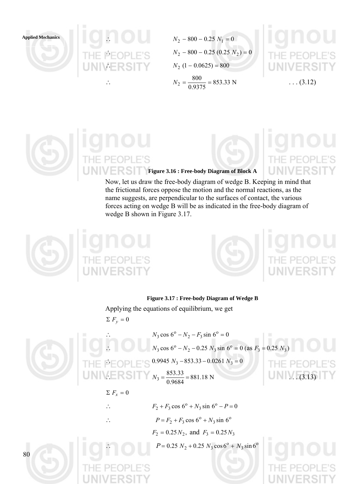



 $N_2 - 800 - 0.25(0.25 N_2) = 0$  $N_2$  (1 – 0.0625) = 800 ∴  $N_2 = \frac{600}{3.335} = 853.33 \text{ N}$  $N_2 = \frac{800}{0.9375} = 853.33 \text{ N}$  ... (3.12)



**Figure 3.16 : Free-body Diagram of Block A** 

Now, let us draw the free-body diagram of wedge B. Keeping in mind that the frictional forces oppose the motion and the normal reactions, as the name suggests, are perpendicular to the surfaces of contact, the various forces acting on wedge B will be as indicated in the free-body diagram of wedge B shown in Figure 3.17.





### **Figure 3.17 : Free-body Diagram of Wedge B**

Applying the equations of equilibrium, we get  $\sum F_y = 0$ 



80

 $N_3 \cos 6^\circ - N_2 - F_3 \sin 6^\circ = 0$  $N_3 \cos 6^\circ - N_2 - 0.25 N_3 \sin 6^\circ = 0$  (as  $F_3 = 0.25 N_3$ )  $0.9945 N_3 - 853.33 - 0.0261 N_3 = 0$  $N_3 = \frac{0.33333}{0.8681} = 881.18 \text{ N}$  $N_3 = \frac{853.33}{0.9684} = 881.18 \text{ N}$  (3.13)

## $\Sigma F_r = 0$

∴  $F_2 + F_3 \cos 6^\circ + N_3 \sin 6^\circ - P = 0$ 

$$
\therefore \qquad P = F_2 + F_3 \cos 6^\circ + N_3 \sin 6^\circ
$$

 $F_2 = 0.25 N_2$ , and  $F_3 = 0.25 N_3$ 

 $P = 0.25 N_2 + 0.25 N_3 \cos^6S_1 + N_3 \sin^6S_2$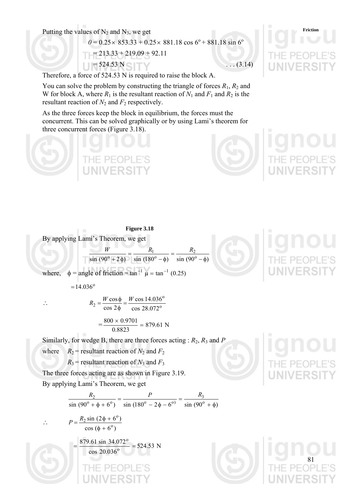Putting the values of N<sub>2</sub> and N<sub>3</sub>, we get Friction

 $0 = 0.25 \times 853.33 + 0.25 \times 881.18 \cos 6^\circ + 881.18 \sin 6^\circ$  $213.33 + 219.09 + 92.11$  $= 524.53 \text{ N}$  . . . (3.14)

Therefore, a force of 524.53 N is required to raise the block A.

You can solve the problem by constructing the triangle of forces  $R_1$ ,  $R_2$  and W for block A, where  $R_1$  is the resultant reaction of  $N_1$  and  $F_1$  and  $R_2$  is the resultant reaction of  $N_2$  and  $F_2$  respectively.

As the three forces keep the block in equilibrium, the forces must the concurrent. This can be solved graphically or by using Lami's theorem for three concurrent forces (Figure 3.18).

**Figure 3.18**  By applying Lami's Theorem, we get  $\sin(90^\circ + 2\phi)$   $\sin(180^\circ - \phi)$   $\sin(90^\circ - \phi)$ 2  $\frac{W}{(0^{\circ} + 2\phi)} = \frac{R_1}{\sin(180^{\circ} - \phi)} = \frac{R_2}{\sin(90^{\circ} - \phi)}$ where,  $\phi$  = angle of friction = tan<sup>-1</sup>  $\mu$  = tan<sup>-1</sup> (0.25)

 $= 14.036$ <sup>o</sup>

∴  $R_2 = \frac{W \cos \phi}{\cos 2\phi} = \frac{W \cos 14.050}{\cos 28.0729}$ o  $2 = \frac{2}{\cos 2\phi} = \frac{28.072}{\cos 28.072}$ cos 14.036  $R_2 = \frac{W\cos\phi}{\cos 2\phi} = \frac{W}{g}$  $=\frac{600 \times 0.9701}{0.0022}$  = 879.61 N  $\frac{800 \times 0.9701}{0.00000} =$ 

Similarly, for wedge B, there are three forces acting :  $R_2$ ,  $R_3$  and  $P$ where  $R_2$  = resultant reaction of  $N_2$  and  $F_2$ 

 $R_3$  = resultant reaction of  $N_3$  and  $F_3$ 

0.8823

The three forces acting are as shown in Figure 3.19. By applying Lami's Theorem, we get

$$
\frac{R_2}{\sin(90^\circ + \phi + 6^\circ)} = \frac{P}{\sin(180^\circ - 2\phi - 6^\circ)} = \frac{R_3}{\sin(90^\circ + \phi)}
$$
  
\n
$$
\therefore P = \frac{R_2 \sin(2\phi + 6^\circ)}{\cos(\phi + 6^\circ)}
$$
  
\n
$$
= \frac{879.61 \sin 34.072^\circ}{\cos 20.036^\circ} = 524.53 \text{ N}
$$



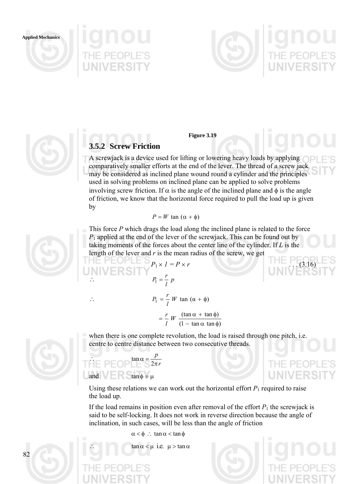**Applied Mechanics**







### **Figure 3.19**

# **3.5.2 Screw Friction**

A screwjack is a device used for lifting or lowering heavy loads by applying comparatively smaller efforts at the end of the lever. The thread of a screw jack may be considered as inclined plane wound round a cylinder and the principles used in solving problems on inclined plane can be applied to solve problems involving screw friction. If  $\alpha$  is the angle of the inclined plane and  $\phi$  is the angle of friction, we know that the horizontal force required to pull the load up is given by

$$
P = W \tan{(\alpha + \phi)}
$$

This force *P* which drags the load along the inclined plane is related to the force *P*1 applied at the end of the lever of the screwjack. This can be found out by taking moments of the forces about the center line of the cylinder. If *L* is the length of the lever and *r* is the mean radius of the screw, we get

$$
P_1 \times I = P \times r
$$
\n
$$
P_1 = \frac{r}{l} p
$$
\nUNIVE RSTY

$$
\therefore P_1 = \frac{r}{l} W \tan (\alpha + \phi)
$$

$$
= \frac{r}{l} W \frac{(\tan \alpha + \tan \phi)}{(1 - \tan \alpha \tan \phi)}
$$

when there is one complete revolution, the load is raised through one pitch, i.e. centre to centre distance between two consecutive threads.

### <sup>∴</sup> *<sup>r</sup>* =α tan *p* π 2 and  $\tan \phi = \mu$

Using these relations we can work out the horizontal effort  $P_1$  required to raise the load up.

If the load remains in position even after removal of the effort  $P_1$  the screwjack is said to be self-locking. It does not work in reverse direction because the angle of inclination, in such cases, will be less than the angle of friction

 $\alpha < \phi$  : tan  $\alpha < \tan \phi$ 

 $tan \alpha < \mu$  i.e.  $\mu > tan \alpha$ 





 $P-F$ 

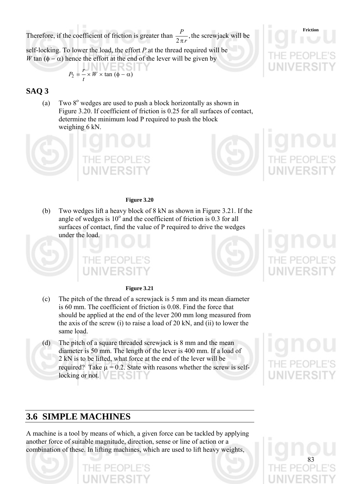Therefore, if the coefficient of friction is greater than  $\frac{P}{2\pi r}$ , π the screwjack will be

self-locking. To lower the load, the effort *P* at the thread required will be *W* tan ( $\phi - \alpha$ ) hence the effort at the end of the lever will be given by

$$
P_2 = \frac{r}{t} \times W \times \tan (\phi - \alpha)
$$

# **SAQ 3**

(a) Two  $8^\circ$  wedges are used to push a block horizontally as shown in Figure 3.20. If coefficient of friction is 0.25 for all surfaces of contact, determine the minimum load P required to push the block weighing 6 kN.



(b) Two wedges lift a heavy block of 8 kN as shown in Figure 3.21. If the angle of wedges is  $10^{\circ}$  and the coefficient of friction is 0.3 for all surfaces of contact, find the value of P required to drive the wedges under the load.

PEO

### **Figure 3.21**

- (c) The pitch of the thread of a screwjack is 5 mm and its mean diameter is 60 mm. The coefficient of friction is 0.08. Find the force that should be applied at the end of the lever 200 mm long measured from the axis of the screw (i) to raise a load of 20 kN, and (ii) to lower the same load.
- (d) The pitch of a square threaded screwjack is 8 mm and the mean diameter is 50 mm. The length of the lever is 400 mm. If a load of 2 kN is to be lifted, what force at the end of the lever will be required? Take  $\mu$  = 0.2. State with reasons whether the screw is selflocking or not.  $\blacksquare \blacksquare$

# **3.6 SIMPLE MACHINES**

A machine is a tool by means of which, a given force can be tackled by applying another force of suitable magnitude, direction, sense or line of action or a combination of these. In lifting machines, which are used to lift heavy weights,









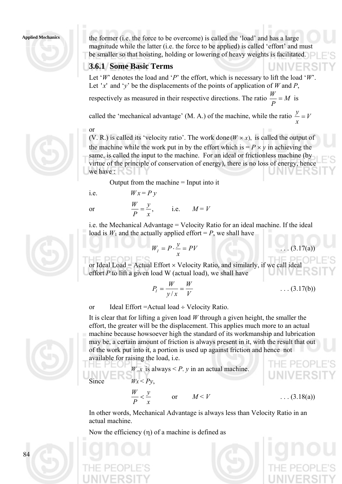

Applied Mechanics the former (i.e. the force to be overcome) is called the 'load' and has a large magnitude while the latter (i.e. the force to be applied) is called 'effort' and must be smaller so that hoisting, holding or lowering of heavy weights is facilitated.

# **3.6.1 Some Basic Terms**

Let '*W*' denotes the load and '*P*' the effort, which is necessary to lift the load '*W*'. Let 'x' and 'y' be the displacements of the points of application of *W* and *P*,

respectively as measured in their respective directions. The ratio  $\frac{N}{n} = M$ *P*  $\frac{W}{I} = M$  is

called the 'mechanical advantage' (M. A.) of the machine, while the ratio  $\frac{y}{z} = V$ *x*  $\frac{y}{x}$  =

or (V. R.) is called its 'velocity ratio'. The work done  $(W \times x)$ , is called the output of the machine while the work put in by the effort which is  $= P \times y$  in achieving the same, is called the input to the machine. For an ideal or frictionless machine (by virtue of the principle of conservation of energy), there is no loss of energy, hence we have :

Output from the machine = Input into it

i.e. 
$$
Wx = Py
$$

Мł



i.e. the Mechanical Advantage = Velocity Ratio for an ideal machine. If the ideal load is  $W_1$  and the actually applied effort =  $P$ , we shall have

$$
W_I = P \cdot \frac{y}{x} = PV
$$

or Ideal Load = Actual Effort  $\times$  Velocity Ratio, and similarly, if we call ideal effort *P* to lift a given load W (actual load), we shall have

$$
P_I = \frac{W}{y/x} = \frac{W}{V}
$$
 (3.17(b))

 $I(3.17(a))$ 

or Ideal Effort =Actual load ÷ Velocity Ratio.

It is clear that for lifting a given load *W* through a given height, the smaller the effort, the greater will be the displacement. This applies much more to an actual machine because howsoever high the standard of its workmanship and lubrication may be, a certain amount of friction is always present in it, with the result that out of the work put into it, a portion is used up against friction and hence not available for raising the load, i.e.

Since 
$$
W.x \text{ is always} < P. y \text{ in an actual machine.}
$$
\nSince 
$$
Wx < Py,
$$
\n
$$
\frac{W}{P} < \frac{y}{x} \quad \text{or} \quad M < V \quad ...(3.18(a))
$$

In other words, Mechanical Advantage is always less than Velocity Ratio in an actual machine.

Now the efficiency  $(\eta)$  of a machine is defined as





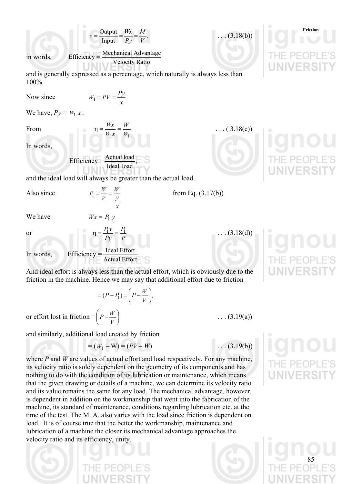and is generally expressed as a percentage, which naturally is always less than 100%.  
\nNow since 
$$
W_1 = PY = \frac{Py}{x}
$$
  
\nWe have,  $Py = W_1 x$ .  
\nFrom  $n = \frac{Wx}{W_1 x} = \frac{W}{W_1}$  ... (3.18(c))  
\nIn words,  
\nEfficiency =  $\frac{\text{Actual load}}{\text{Ideal load}}$ ,  
\nand the ideal load will always be greater than the actual load.  
\nAlso since  $P_1 = \frac{W}{Y} = \frac{W}{y}$  from Eq. (3.17(b))  
\nWe have  $Wx = P_1 y$   
\nor  $n = \frac{P_1 y}{P} = \frac{P_1}{P}$  ... (3.18(d))  
\nIn words, Efficiency =  $\frac{\text{Ideal Effort}}{\text{Actual Effort}}$   
\nAnd ideal effort is always less than the actual effort, which is obviously due to the friction  
\nfriction in the machine. Hence we may say that additional effort due to friction  
\n $= (P - P_1) = (P - \frac{W}{V})$ .

or effort lost in friction =  $|P-\frac{W}{W}|$  $\left(P-\frac{W}{V}\right)$  $\left(P - \frac{W}{V}\right)$ 

and similarly, additional load created by friction

$$
= (W_1 - W) = (PV - W)
$$

where *P* and *W* are values of actual effort and load respectively. For any machine, its velocity ratio is solely dependent on the geometry of its components and has nothing to do with the condition of its lubrication or maintenance, which means that the given drawing or details of a machine, we can determine its velocity ratio and its value remains the same for any load. The mechanical advantage, however, is dependent in addition on the workmanship that went into the fabrication of the machine, its standard of maintenance, conditions regarding lubrication etc. at the time of the test. The M. A. also varies with the load since friction is dependent on load. It is of course true that the better the workmanship, maintenance and lubrication of a machine the closer its mechanical advantage approaches the velocity ratio and its efficiency, unity.

 $\eta = \frac{\text{Output}}{\text{Value}} = \frac{Wx}{R} = \frac{M}{W}$ . . . . (3.18(b))

**Friction**

 $\eta = \frac{\text{Output}}{\text{Input}} = \frac{Wx}{Py} = \frac{M}{V}.$ *V Py* in words, Efficiency =  $\frac{\text{Mechanical Advantage}}{\text{Velocity Ratio}}$ 

and is generally expressed as a percentage, which naturally is always less than 10

*M*

 $Nc$ 

We have,  $Py = W_1 x$ .

Fro

 $In$ 

and the ideal load will always be greater than the actual load.

 $A<sup>1</sup>$ 

or

And ideal effort is always less than the actual effort, which is obviously due to the friction in the machine. Hence we may say that additional effort due to friction

$$
=(P-P_1)=\left(P-\frac{W}{V}\right),\,
$$

⎠



 $\ldots$  (3.19(a))

 $\ldots$  (3.19(b))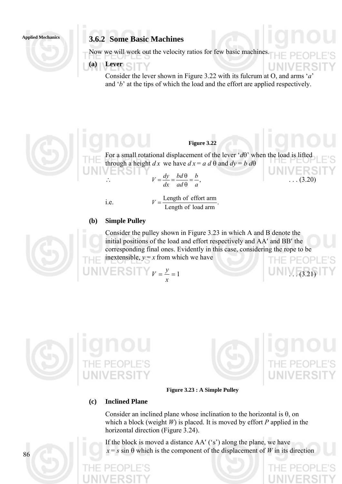# **Applied Mechanics 3.6.2 Some Basic Machines**

Now we will work out the velocity ratios for few basic machines.

# **(a) Lever**

Consider the lever shown in Figure 3.22 with its fulcrum at O, and arms '*a*' and '*b*' at the tips of which the load and the effort are applied respectively.



## **Figure 3.22**

For a small rotational displacement of the lever '*d*θ' when the load is lifted through a height *dx* we have  $dx = a d\theta$  and  $dy = b d\theta$ 

$$
V = \frac{dy}{dx} = \frac{bd\theta}{ad\theta} = \frac{b}{a},
$$
 (3.20)

i.e.  $V = \frac{\text{Length of effort arm}}{\text{Length of load arm}}$ .

### **(b) Simple Pulley**

Consider the pulley shown in Figure 3.23 in which A and B denote the initial positions of the load and effort respectively and AA′ and BB′ the corresponding final ones. Evidently in this case, considering the rope to be inextensible,  $y = x$  from which we have

 $V = K$  $I$   $V = L = 1$ *x*  $V = \frac{y}{2} = 1$  (3.21)





**Figure 3.23 : A Simple Pulley** 

## **(c) Inclined Plane**

Consider an inclined plane whose inclination to the horizontal is  $\theta$ , on which a block (weight *W*) is placed. It is moved by effort *P* applied in the horizontal direction (Figure 3.24).

If the block is moved a distance AA′ ('s') along the plane, we have  $x = s \sin \theta$  which is the component of the displacement of *W* in its direction

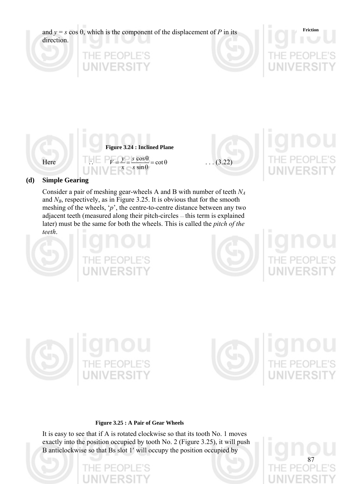

and  $N_B$ , respectively, as in Figure 3.25. It is obvious that for the smooth meshing of the wheels,  $\gamma$ <sup>'</sup>, the centre-to-centre distance between any two adjacent teeth (measured along their pitch-circles — this term is explained later) must be the same for both the wheels. This is called the *pitch of the teeth*.





87





### **Figure 3.25 : A Pair of Gear Wheels**

It is easy to see that if A is rotated clockwise so that its tooth No. 1 moves exactly into the position occupied by tooth No. 2 (Figure 3.25), it will push B anticlockwise so that Bs slot 1′ will occupy the position occupied by

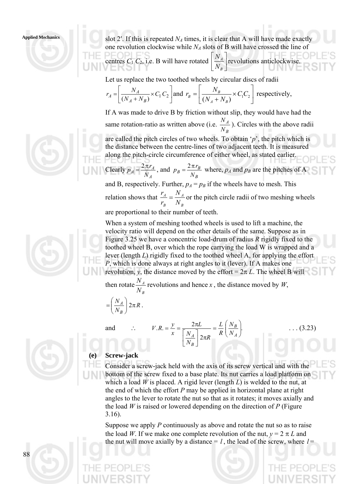

Applied Mechanics slot 2'. If this is repeated  $N_A$  times, it is clear that A will have made exactly one revolution clockwise while  $N_A$  slots of B will have crossed the line of

> centres  $C_1 C_2$ , i.e. B will have rotated  $\left\lfloor \frac{N_A}{N} \right\rfloor$ ⎦  $\left|\frac{N_A}{N}\right|$ ⎣  $\mathsf{L}$ *B A N*  $\frac{N_A}{N_A}$  revolutions anticlockwise.

Let us replace the two toothed wheels by circular discs of radii

$$
r_A = \left[\frac{N_A}{(N_A + N_B)} \times C_1 C_2\right]
$$
 and  $r_B = \left[\frac{N_B}{(N_A + N_B)} \times C_1 C_2\right]$  respectively,

If A was made to drive B by friction without slip, they would have had the same rotation-ratio as written above (i.e. *B A N*  $\frac{N_A}{N_A}$ ). Circles with the above radii

are called the pitch circles of two wheels. To obtain '*p*', the pitch which is the distance between the centre-lines of two adjacent teeth. It is measured along the pitch-circle circumference of either wheel, as stated earlier. Clearly *A*  $A = \frac{2\pi r_A}{N_A}$  $p_A = \frac{2 \pi r_A}{r}$ , and *B*  $B = \frac{2\pi r_B}{N_B}$  $p_B = \frac{2\pi r_B}{v}$  where,  $p_A$  and  $p_B$  are the pitches of A

and B, respectively. Further,  $p_A = p_B$  if the wheels have to mesh. This relation shows that *B A B A N N r*  $r_A = \frac{N_A}{N_A}$  or the pitch circle radii of two meshing wheels

are proportional to their number of teeth.

When a system of meshing toothed wheels is used to lift a machine, the velocity ratio will depend on the other details of the same. Suppose as in Figure 3.25 we have a concentric load-drum of radius *R* rigidly fixed to the toothed wheel B, over which the rope carrying the load W is wrapped and a lever (length *L*) rigidly fixed to the toothed wheel A, for applying the effort *P*, which is done always at right angles to it (lever). If A makes one revolution, *y*, the distance moved by the effort =  $2\pi L$ . The wheel B will

then rotate  $\frac{4}{11}$ *N*  $\frac{N_A}{N_A}$  revolutions and hence *x*, the distance moved by *W*,

> 2  $R = \frac{y}{r} = \frac{2\pi L}{\lceil N \rceil} = \frac{L}{R} \left( \frac{N_B}{N_L} \right)$

 $\left| \begin{matrix} A \\ \gamma \pi R \end{matrix} \right|$  R  $\left( N \right)$ 

*R*

 $\vert 2\pi$ ⎦  $\left|\frac{N_A}{N}\right|$ ⎣  $\lfloor$  $=\frac{y}{\sqrt{2}}=\frac{2\pi}{\sqrt{2}}$ 

*L*

*B*

*N N*

and  $\therefore$   $V.R. = \frac{y}{\sqrt{2}} = \frac{2\pi L}{\sqrt{2}} = \frac{L}{\sqrt{2}} \left| \frac{N_B}{N_B} \right|$ .

*x*

$$
= \left(\frac{N_A}{N_B}\right) 2\pi R.
$$



**(e) Screw-jack** 

Consider a screw-jack held with the axis of its screw vertical and with the bottom of the screw fixed to a base plate. Its nut carries a load platform on which a load *W* is placed. A rigid lever (length *L*) is welded to the nut, at the end of which the effort *P* may be applied in horizontal plane at right angles to the lever to rotate the nut so that as it rotates; it moves axially and the load *W* is raised or lowered depending on the direction of *P* (Figure 3.16).

⎠ ⎞

*A B*

 $V.R. = \frac{y}{\sqrt{2}} = \frac{2\pi L}{\sqrt{2}} = \frac{L}{\sqrt{2}} \left( \frac{N_B}{N} \right)$  . . . (3.23)

 $\overline{\phantom{a}}$ ⎝  $=\frac{L}{I}$ 

*R L* *N*

Suppose we apply *P* continuously as above and rotate the nut so as to raise the load *W*. If we make one complete revolution of the nut,  $y = 2 \pi L$  and the nut will move axially by a distance  $= l$ , the lead of the screw, where  $l =$ 

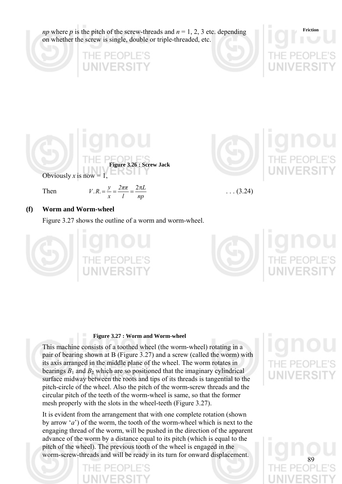*np* where *p* is the pitch of the screw-threads and  $n = 1, 2, 3$  etc. depending on whether the screw is single, double or triple-threaded, etc.









Then

| $V.R. = \frac{y}{x}$ | $2\pi\pi$ $2\pi L$ |    |
|----------------------|--------------------|----|
|                      |                    | np |



 $\ldots$  (3.24)

# **(f) Worm and Worm-wheel**

Figure 3.27 shows the outline of a worm and worm-wheel.





### **Figure 3.27 : Worm and Worm-wheel**

This machine consists of a toothed wheel (the worm-wheel) rotating in a pair of bearing shown at B (Figure 3.27) and a screw (called the worm) with its axis arranged in the middle plane of the wheel. The worm rotates in bearings  $B_1$  and  $B_2$  which are so positioned that the imaginary cylindrical surface midway between the roots and tips of its threads is tangential to the pitch-circle of the wheel. Also the pitch of the worm-screw threads and the circular pitch of the teeth of the worm-wheel is same, so that the former mesh properly with the slots in the wheel-teeth (Figure 3.27).

It is evident from the arrangement that with one complete rotation (shown by arrow '*a*') of the worm, the tooth of the worm-wheel which is next to the engaging thread of the worm, will be pushed in the direction of the apparent advance of the worm by a distance equal to its pitch (which is equal to the pitch of the wheel). The previous tooth of the wheel is engaged in the worm-screw-threads and will be ready in its turn for onward displacement.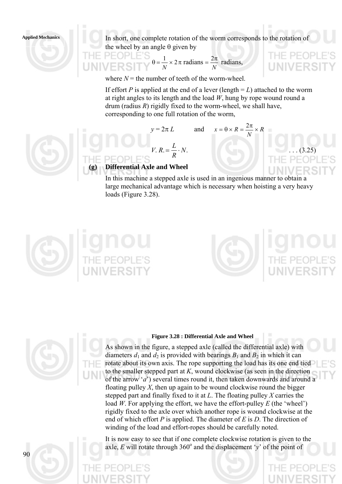**Applied Mechanics** In short, one complete rotation of the worm corresponds to the rotation of the wheel by an angle  $\theta$  given by

$$
\theta = \frac{1}{N} \times 2\pi \text{ radians} = \frac{2\pi}{N} \text{ radians},
$$

where  $N =$  the number of teeth of the worm-wheel.

If effort *P* is applied at the end of a lever (length  $=L$ ) attached to the worm at right angles to its length and the load *W*, hung by rope wound round a drum (radius *R*) rigidly fixed to the worm-wheel, we shall have, corresponding to one full rotation of the worm,

*N*

 $P-F$ 

 $x = \theta \times R = \frac{2\pi}{\pi} \times$ 

$$
y = 2\pi L
$$
 and  $x = \theta \times R = \frac{2\pi}{N} \times R$ 

$$
V. R. = \frac{L}{R} \cdot N. \tag{3.25}
$$

# **(g) Differential Axle and Wheel**

In this machine a stepped axle is used in an ingenious manner to obtain a large mechanical advantage which is necessary when hoisting a very heavy loads (Figure 3.28).





### **Figure 3.28 : Differential Axle and Wheel**

As shown in the figure, a stepped axle (called the differential axle) with diameters  $d_1$  and  $d_2$  is provided with bearings  $B_1$  and  $B_2$  in which it can rotate about its own axis. The rope supporting the load has its one end tied to the smaller stepped part at *K*, wound clockwise (as seen in the direction of the arrow '*a*') several times round it, then taken downwards and around a floating pulley *X*, then up again to be wound clockwise round the bigger stepped part and finally fixed to it at *L*. The floating pulley *X* carries the load *W*. For applying the effort, we have the effort-pulley *E* (the 'wheel') rigidly fixed to the axle over which another rope is wound clockwise at the end of which effort *P* is applied. The diameter of *E* is *D*. The direction of winding of the load and effort-ropes should be carefully noted.

It is now easy to see that if one complete clockwise rotation is given to the axle,  $E$  will rotate through 360 $^{\circ}$  and the displacement 'y' of the point of

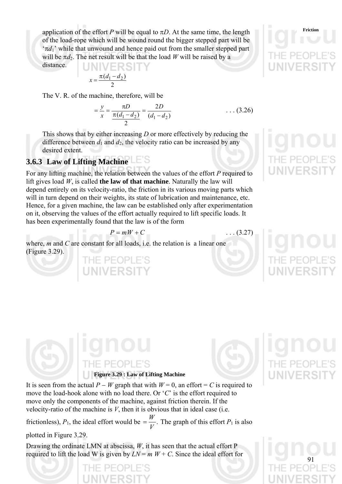application of the effort *P* will be equal to  $\pi D$ . At the same time, the length of the load-rope which will be wound round the bigger stepped part will be ' $\pi d_1$ ' while that unwound and hence paid out from the smaller stepped part will be  $\pi d_2$ . The net result will be that the load *W* will be raised by a **IJNIVERSIT** distance.

$$
x = \frac{\pi(d_1 - d_2)}{2}
$$

The V. R. of the machine, therefore, will be

 $=\frac{y}{x}=\frac{\pi D}{\pi(d_1-d_2)}=\frac{2D}{(d_1-d_2)}$ 2  $\frac{(d_1 - d_2)}{d_1 - d_2}$ *D*  $d_1 - d$ *D x*  $=\frac{y}{x}=\frac{\pi D}{\pi(d_1-d_2)}=\frac{2D}{(d_1-d_2)}$  ... (3.26)

This shows that by either increasing *D* or more effectively by reducing the difference between  $d_1$  and  $d_2$ , the velocity ratio can be increased by any desired extent.

# **3.6.3 Law of Lifting Machine**

For any lifting machine, the relation between the values of the effort *P* required to lift gives load *W*, is called **the law of that machine**. Naturally the law will depend entirely on its velocity-ratio, the friction in its various moving parts which will in turn depend on their weights, its state of lubrication and maintenance, etc. Hence, for a given machine, the law can be established only after experimentation on it, observing the values of the effort actually required to lift specific loads. It has been experimentally found that the law is of the form

$$
P = mW + C \tag{3.27}
$$

where, *m* and *C* are constant for all loads, i.e. the relation is a linear one (Figure 3.29).

IE PEOPLE'S

It is seen from the actual  $P - W$  graph that with  $W = 0$ , an effort = C is required to move the load-hook alone with no load there. Or '*C*' is the effort required to move only the components of the machine, against friction therein. If the velocity-ratio of the machine is  $V$ , then it is obvious that in ideal case (i.e.

**Figure 3.29 : Law of Lifting Machine** 

frictionless),  $P_1$ , the ideal effort would be  $= \frac{W}{V}$ . The graph of this effort  $P_1$  is also

plotted in Figure 3.29.

Drawing the ordinate LMN at abscissa, *W*, it has seen that the actual effort P required to lift the load W is given by  $LN = m W + C$ . Since the ideal effort for





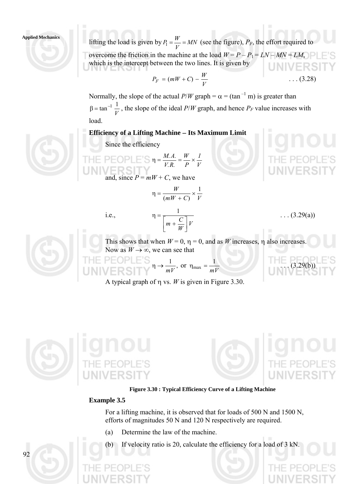### **Applied Mechanics**



$$
P_F = (mW + C) - \frac{W}{V} \qquad \qquad \ldots (3.28)
$$

Normally, the slope of the actual  $P/W$  graph =  $\alpha$  = (tan<sup>-1</sup> m) is greater than *V*  $\beta = \tan^{-1} \frac{1}{N}$ , the slope of the ideal *P*/*W* graph, and hence *P<sub>F</sub>* value increases with load.

### **Efficiency of a Lifting Machine** − **Its Maximum Limit**

Since the efficiency



and, since  $P = mW + C$ , we have

$$
\eta = \frac{W}{(mW + C)} \times \frac{1}{V}
$$

i.e.,



This shows that when  $W = 0$ ,  $\eta = 0$ , and as *W* increases,  $\eta$  also increases. Now as  $W \rightarrow \infty$ , we can see that

 $M = \text{OPTLE } \text{S}$   $\eta \to \frac{1}{mV}$ , or  $\eta_{\text{max}} = \frac{1}{mV}$  (3.29(b))

A typical graph of η vs. *W* is given in Figure 3.30.





**Figure 3.30 : Typical Efficiency Curve of a Lifting Machine** 

### **Example 3.5**

For a lifting machine, it is observed that for loads of 500 N and 1500 N, efforts of magnitudes 50 N and 120 N respectively are required.

- (a) Determine the law of the machine.
- (b) If velocity ratio is 20, calculate the efficiency for a load of 3 kN.

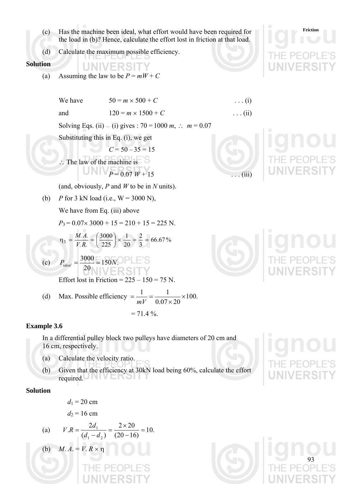- **Friction** (c) Has the machine been ideal, what effort would have been required for the load in (b)? Hence, calculate the effort lost in friction at that load.
- (d) Calculate the maximum possible efficiency.

UNIVERSIT

**Solution** 

(a) Assuming the law to be  $P = mW + C$ 

We have  $50 = m \times 500 + C$  ... (i) and  $120 = m \times 1500 + C$  ... (ii) Solving Eqs. (ii) — (i) gives :  $70 = 1000$  *m*, ∴ *m* = 0.07 Substituting this in Eq. (i), we get  $C = 50 - 35 = 15$ ∴ The law of the machine is  $P = 0.07 W + 15$  ... (iii) (and, obviously, *P* and *W* to be in *N* units). (b) *P* for 3 kN load (i.e.,  $W = 3000$  N), We have from Eq. (iii) above  $P_3 = 0.07 \times 3000 + 15 = 210 + 15 = 225$  N. 66.67% 3 2 20 1 225  $_3 = \frac{M.A.}{V.R.} = \left(\frac{3000}{225}\right) \times \frac{1}{20} = \frac{2}{3} =$  $\left(\frac{3000}{225}\right)$ ⎝  $\eta_3 = \frac{M.A.}{V.R.} = \left($ (c)  $P_{ideal} = \frac{5000}{300} = 150N$ .  $P_{ideal} = \frac{3000}{20} = 150N$ Effort lost in Friction =  $225 - 150 = 75$  N.  $1 \quad 1$ 

(d) Max. Possible efficiency 
$$
=\frac{1}{mV} = \frac{1}{0.07 \times 20} \times 100.
$$
  
= 71.4 %.

### **Example 3.6**

In a differential pulley block two pulleys have diameters of 20 cm and 16 cm, respectively.

- (a) Calculate the velocity ratio.
- (b) Given that the efficiency at 30kN load being 60%, calculate the effort required.

### **Solution**

$$
d_1 = 20 \text{ cm}
$$
  

$$
d_2 = 16 \text{ cm}
$$

(a) 
$$
V.R = \frac{2d_1}{(d_1 - d_2)} = \frac{2 \times 20}{(20 - 16)} = 10.
$$

(b) 
$$
M. A = V. R \times \eta
$$







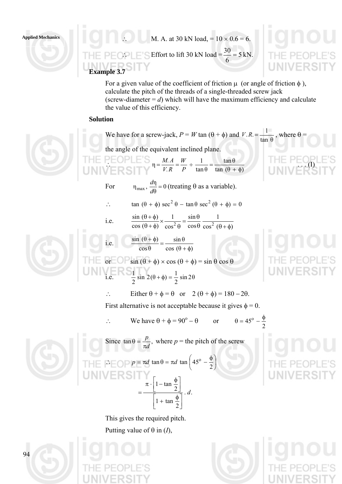

Applied Mechanics<br>
∴ M. A. at 30 kN load, =  $10 \times 0.6 = 6$ .  $\therefore$  Effort to lift 30 kN load =  $\frac{56}{5}$  = 5 6  $\frac{30}{5}$  = 5 kN. **Example 3.7** 

For a given value of the coefficient of friction  $\mu$  (or angle of friction  $\phi$ ), calculate the pitch of the threads of a single-threaded screw jack (screw-diameter  $= d$ ) which will have the maximum efficiency and calculate the value of this efficiency.

## **Solution**





This gives the required pitch. Putting value of  $\theta$  in (*I*),



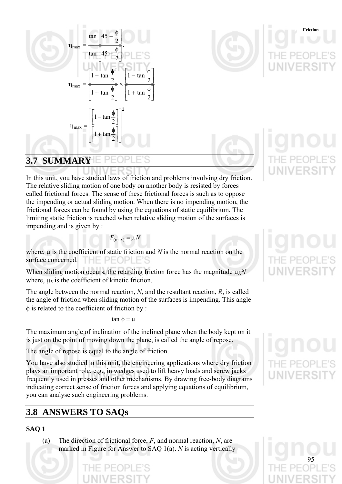



**Friction**

# **3.7 SUMMARY**

In this unit, you have studied laws of friction and problems involving dry friction. The relative sliding motion of one body on another body is resisted by forces called frictional forces. The sense of these frictional forces is such as to oppose the impending or actual sliding motion. When there is no impending motion, the frictional forces can be found by using the equations of static equilibrium. The limiting static friction is reached when relative sliding motion of the surfaces is impending and is given by :

 $F_{\text{(max)}} = \mu N$ 

where, μ is the coefficient of static friction and *N* is the normal reaction on the surface concerned. HE PEOPI

When sliding motion occurs, the retarding friction force has the magnitude  $\mu_K N$ where,  $\mu_k$  is the coefficient of kinetic friction.

The angle between the normal reaction, *N*, and the resultant reaction, *R*, is called the angle of friction when sliding motion of the surfaces is impending. This angle φ is related to the coefficient of friction by :

 $tan \phi = μ$ 

The maximum angle of inclination of the inclined plane when the body kept on it is just on the point of moving down the plane, is called the angle of repose.

The angle of repose is equal to the angle of friction.

You have also studied in this unit, the engineering applications where dry friction plays an important role, e.g., in wedges used to lift heavy loads and screw jacks frequently used in presses and other mechanisms. By drawing free-body diagrams indicating correct sense of friction forces and applying equations of equilibrium, you can analyse such engineering problems.

# **3.8 ANSWERS TO SAQs**

# **SAQ 1**

(a) The direction of frictional force, *F*, and normal reaction, *N*, are marked in Figure for Answer to SAQ 1(a). *N* is acting vertically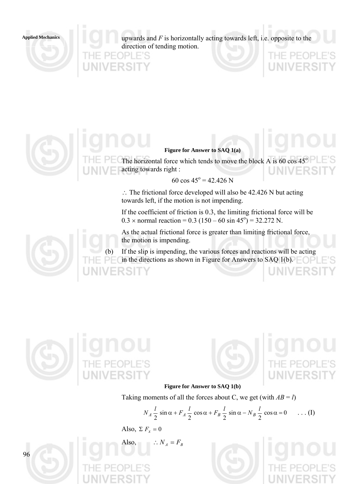

**Applied Mechanics** upwards and *F* is horizontally acting towards left, i.e. opposite to the direction of tending motion.



## **Figure for Answer to SAQ 1(a)**

The horizontal force which tends to move the block A is  $60 \cos 45^\circ$ acting towards right :

 $60 \cos 45^\circ = 42.426 \text{ N}$ 

∴ The frictional force developed will also be 42.426 N but acting towards left, if the motion is not impending.

If the coefficient of friction is 0.3, the limiting frictional force will be  $0.3 \times$  normal reaction = 0.3 (150 – 60 sin 45<sup>o</sup>) = 32.272 N.

As the actual frictional force is greater than limiting frictional force, the motion is impending.

(b) If the slip is impending, the various forces and reactions will be acting in the directions as shown in Figure for Answers to SAQ 1(b).



96



# **Figure for Answer to SAQ 1(b)**

Taking moments of all the forces about C, we get (with  $AB = l$ )

$$
N_A \frac{l}{2} \sin \alpha + F_A \frac{l}{2} \cos \alpha + F_B \frac{l}{2} \sin \alpha - N_B \frac{l}{2} \cos \alpha = 0 \qquad \dots (I)
$$

Also,  $\Sigma F_x = 0$ 

Also,  $\therefore N_A = F_B$ 

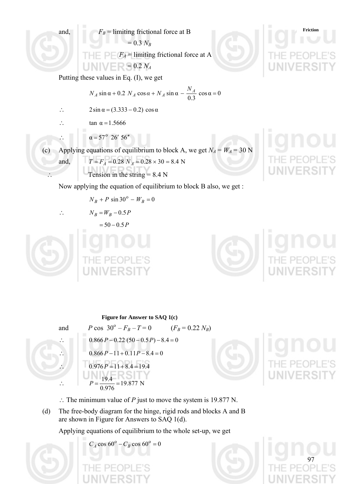

 $N_B + P \sin 30^\circ - W_B = 0$ 

$$
\langle \mathcal{L}_{\mathcal{L}} \rangle
$$

$$
\therefore \qquad N_B = W_B - 0.5 P
$$

$$
=50-0.5P
$$





97

**Figure for Answer to SAQ 1(c)**  
\nand 
$$
P \cos 30^\circ - F_B - T = 0
$$
 ( $F_B = 0.22 N_B$ )  
\n∴  $0.866P - 0.22 (50 - 0.5P) - 8.4 = 0$   
\n∴  $0.866P - 11 + 0.11P - 8.4 = 0$   
\n∴  $0.976P = 11 + 8.4 = 19.4$   
\n∴  $P = \frac{19.4}{0.976} = 19.877 N$ 

∴ The minimum value of *P* just to move the system is 19.877 N.

(d) The free-body diagram for the hinge, rigid rods and blocks A and B are shown in Figure for Answers to SAQ 1(d).

Applying equations of equilibrium to the whole set-up, we get

 $C_A \cos 60^\circ - C_B \cos 60^\circ = 0$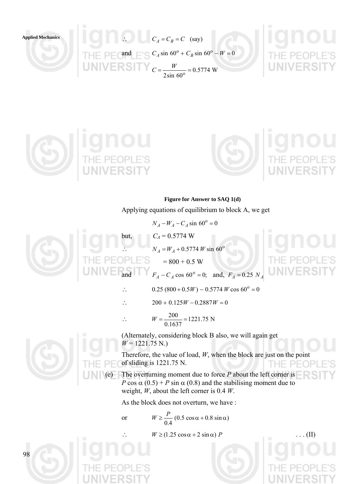

**Applied Mechanics** ∴  $C_A = C_B = C$  (say) and  $C_A \sin 60^\circ + C_B \sin 60^\circ - W = 0$  $C = \frac{W}{2 \sin 60^\circ} = 0.5774$  W







**Figure for Answer to SAQ 1(d)** 

Applying equations of equilibrium to block A, we get



 $N_A - W_A - C_A \sin 60^\circ = 0$  $C_A = 0.5774$  W  $N_A = W_A + 0.5774 W \sin 60^\circ$  $= 800 + 0.5$  W

```
F_A - C_A \cos 60^\circ = 0; and, F_A = 0.25 N_A
```
- ∴ 0.25  $(800 + 0.5W) 0.5774 W \cos 60^\circ = 0$
- ∴  $200 + 0.125W 0.2887W = 0$

$$
\therefore \qquad W = \frac{200}{0.1637} = 1221.75 \text{ N}
$$

(Alternately, considering block B also, we will again get  $W = 1221.75$  N.)

Therefore, the value of load, *W*, when the block are just on the point of sliding is 1221.75 N.  $PF($ 

The overturning moment due to force  $P$  about the left corner is *P* cos  $\alpha$  (0.5) + *P* sin  $\alpha$  (0.8) and the stabilising moment due to weight, *W*, about the left corner is 0.4 *W*.

As the block does not overturn, we have :

or  $W \ge \frac{P}{0.4} (0.5 \cos \alpha + 0.8 \sin \alpha)$ 

 $W \geq (1.25 \cos \alpha + 2 \sin \alpha) P$  . . . (II)

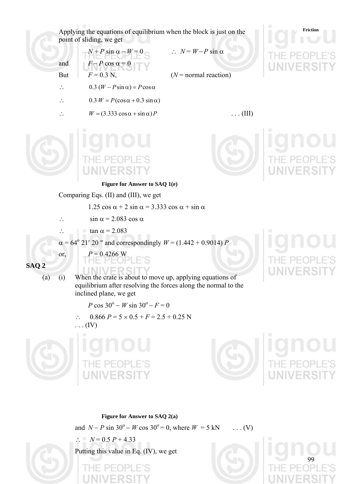Applying the equations of equilibrium when the block is just on the **Friction** point of sliding, we get

 $N + P \sin \alpha - W = 0$  ∴  $N = W - P \sin \alpha$ 

- and  $F-P \cos \alpha = 0$
- But  $F = 0.3$  N,  $(N = normal reaction)$
- $\therefore$  0.3  $(W P\sin\alpha) = P\cos\alpha$
- $\therefore$  0.3  $W = P(\cos \alpha + 0.3 \sin \alpha)$
- 
- $W = (3.333 \cos \alpha + \sin \alpha)P$  . . . (III)



### **Figure for Answer to SAQ 1(e)**

Comparing Eqs. (II) and (III), we get

1.25 cos  $\alpha$  + 2 sin  $\alpha$  = 3.333 cos  $\alpha$  + sin  $\alpha$ 

- $\therefore$  sin  $\alpha = 2.083 \cos \alpha$
- ∴  $\ln \tan \alpha = 2.083$
- $\alpha = 64^{\circ}$  21' 20" and correspondingly  $W = (1.442 + 0.9014) P$

or,  $P = 0.4266$  W

(a) (i) When the crate is about to move up, applying equations of equilibrium after resolving the forces along the normal to the inclined plane, we get

*P* cos  $30^{\circ}$  − *W* sin  $30^{\circ}$  − *F* = 0

∴ 0.866  $P = 5 \times 0.5 + F = 2.5 + 0.25$  N  $\ldots$  (IV)











**Figure for Answer to SAQ 2(a)** 

and  $N - P \sin 30^\circ - W \cos 30^\circ = 0$ , where  $W = 5$  kN . . . . (V)

$$
\therefore N = 0.5 P + 4.33
$$

Putting this value in Eq. (IV), we get

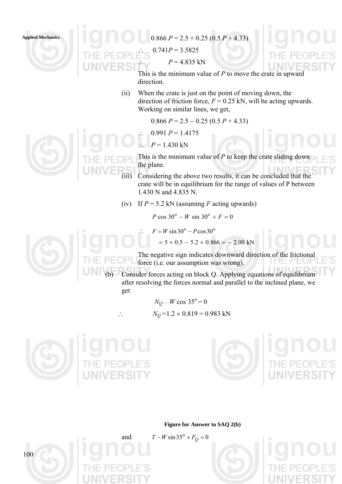



 $0.741P = 3.5825$ 

 $P = 4.835$  kN

This is the minimum value of *P* to move the crate in upward direction.

(ii) When the crate is just on the point of moving down, the direction of friction force,  $F = 0.25$  kN, will be acting upwards. Working on similar lines, we get,

 $0.866 P = 2.5 - 0.25 (0.5 P + 4.33)$ 

$$
\therefore
$$
 0.991 *P* = 1.4175

$$
\therefore P = 1.430 \text{ kN}
$$

This is the minimum value of *P* to keep the crate sliding down the plane.

(iii) Considering the above two results, it can be concluded that the crate will be in equilibrium for the range of values of P between 1.430 N and 4.835 N.

(iv) If  $P = 5.2$  kN (assuming *F* acting upwards)

 $P \cos 30^\circ - W \sin 30^\circ + F = 0$ 

 $F = W \sin 30^\circ - P \cos 30^\circ$ 

 $= 5 \times 0.5 - 5.2 \times 0.866 = -2.00$  kN

The negative sign indicates downward direction of the frictional force (i.e. our assumption was wrong). **FIE** 

Consider forces acting on block Q. Applying equations of equilibrium after resolving the forces normal and parallel to the inclined plane, we get

 $N_O - W \cos 35^\circ = 0$ ∴  $N_Q = 1.2 \times 0.819 = 0.983$  kN





**Figure for Answer to SAQ 2(b)** 

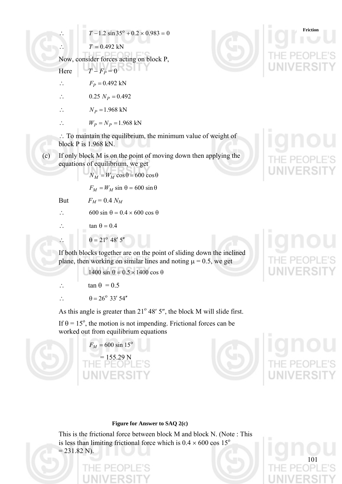$$
T - 1.2 \sin 35^{\circ} + 0.2 \times 0.983 = 0
$$

∴  $T = 0.492$  kN

Now, consider forces acting on block P,

Here 
$$
T - F_P = 0
$$

- ∴  $F_P = 0.492 \text{ kN}$
- ∴  $0.25 N_p = 0.492$

$$
\therefore \qquad N_P = 1.968 \text{ kN}
$$

$$
W_P = N_P = 1.968 \text{ kN}
$$

∴ To maintain the equilibrium, the minimum value of weight of block P is 1.968 kN.

(c) If only block M is on the point of moving down then applying the equations of equilibrium, we get

$$
N_M = W_M \cos \theta = 600 \cos \theta
$$

 $F_M = W_M \sin \theta = 600 \sin \theta$ 

But  $F_M = 0.4 N_M$ 

∴ 600 sin  $\theta$  = 0.4 × 600 cos  $\theta$ 

$$
\therefore \quad \tan \theta = 0.4
$$

$$
\therefore \qquad \theta = 21^{\circ} 48' 5''
$$

If both blocks together are on the point of sliding down the inclined plane, then working on similar lines and noting  $\mu = 0.5$ , we get

$$
1400 \sin \theta = 0.5 \times 1400 \cos \theta
$$

- ∴ tan  $\theta = 0.5$
- $\therefore \qquad \theta = 26^{\circ} 33' 54''$

As this angle is greater than  $21^{\circ}$  48' 5", the block M will slide first.

If  $\theta = 15^{\circ}$ , the motion is not impending. Frictional forces can be worked out from equilibrium equations



 $F_M = 600 \sin 15^\circ$  $= 155.29$  N



**Friction**



101

### **Figure for Answer to SAQ 2(c)**

This is the frictional force between block M and block N. (Note : This is less than limiting frictional force which is  $0.4 \times 600$  cos  $15^{\circ}$  $= 231.82$  N).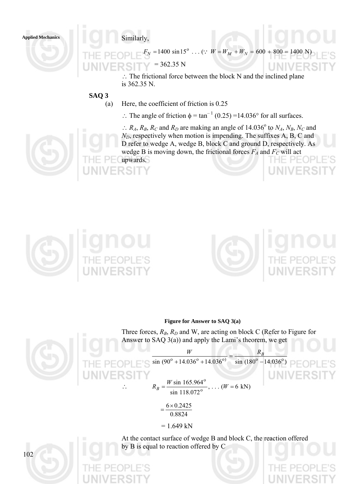

 $(1400 \sin 15^\circ \dots$  (:  $W = W_M + W_N = 600 + 800 = 1400$  N  $= 362.35 N$ 

> ∴ The frictional force between the block N and the inclined plane is 362.35 N.

**SAQ 3** 

- (a) Here, the coefficient of friction is 0.25
	- ∴ The angle of friction  $\phi = \tan^{-1}(0.25) = 14.036^{\circ}$  for all surfaces.

 $\therefore$  *R<sub>A</sub>*, *R<sub>B</sub>*, *R<sub>C</sub>* and *R<sub>D</sub>* are making an angle of 14.036<sup>°</sup> to *N<sub>A</sub>*, *N<sub>B</sub>*, *N<sub>C</sub>* and  $N_D$ , respectively when motion is impending. The suffixes A, B, C and D refer to wedge A, wedge B, block C and ground D, respectively. As wedge B is moving down, the frictional forces  $F_A$  and  $F_C$  will act upwards. THE PEOPI





### **Figure for Answer to SAQ 3(a)**

Three forces,  $R_B$ ,  $R_D$  and W, are acting on block C (Refer to Figure for Answer to SAQ  $3(a)$ ) and apply the Lami's theorem, we get



 $\frac{W}{\sin (90^\circ + 14.036^\circ + 14.036^\circ)} = \frac{R_B}{\sin (180^\circ - 14.036^\circ)}$  $R_B = \frac{W \sin 103.564}{8}$ , ... ( $W = 6$  kN) sin 118.072 sin 165.964 o  $R_B = \frac{W \sin 165.964^{\circ}}{118.072^{\circ}}$ , ...  $(W =$ 

$$
=\frac{6 \times 0.2425}{0.8824}
$$

 $= 1.649$  kN

At the contact surface of wedge B and block C, the reaction offered by B is equal to reaction offered by C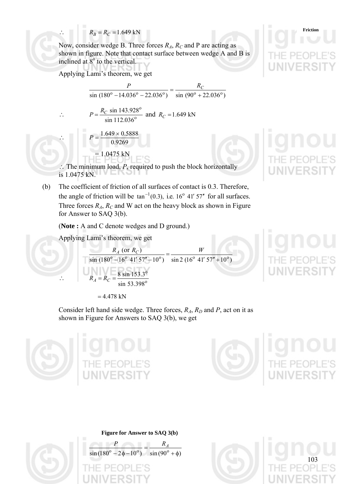$R_B = R_C = 1.649 \text{ kN}$  Friction

Now, consider wedge B. Three forces  $R_A$ ,  $R_C$  and P are acting as shown in figure. Note that contact surface between wedge A and B is inclined at  $8^{\circ}$  to the vertical.

Applying Lami's theorem, we get

$$
\frac{P}{\sin(180^\circ - 14.036^\circ - 22.036^\circ)} = \frac{R_C}{\sin(90^\circ + 22.036^\circ)}
$$

$$
\therefore P = \frac{R_C \sin 143.928^{\circ}}{\sin 112.036^{\circ}} \text{ and } R_C = 1.649 \text{ kN}
$$

$$
P = \frac{1.649 \times 0.5888}{0.9269}
$$

$$
= 1.0475 \text{ kN}
$$

∴ The minimum load, *P*, required to push the block horizontally is 1.0475 kN.

(b) The coefficient of friction of all surfaces of contact is 0.3. Therefore, the angle of friction will be  $\tan^{-1}(0.3)$ , i.e. 16<sup>o</sup> 41' 57" for all surfaces. Three forces  $R_A$ ,  $R_C$  and W act on the heavy block as shown in Figure for Answer to SAQ 3(b).

(**Note :** A and C denote wedges and D ground.)

Applying Lami's theorem, we get

$$
\frac{R_A \text{ (or } R_C)}{\sin (180^\circ - 16^\circ 41' 57'' - 10^\circ)} = \frac{W}{\sin 2 (16^\circ 41' 57'' + 10^\circ)}
$$
  
 
$$
\therefore R_A = R_C = \frac{8 \sin 153.3^\circ}{\sin 53.398^\circ}
$$

 $= 4.478$  kN

Consider left hand side wedge. Three forces,  $R_A$ ,  $R_D$  and  $P$ , act on it as shown in Figure for Answers to SAQ 3(b), we get





103

**Figure for Answer to SAQ 3(b)** 





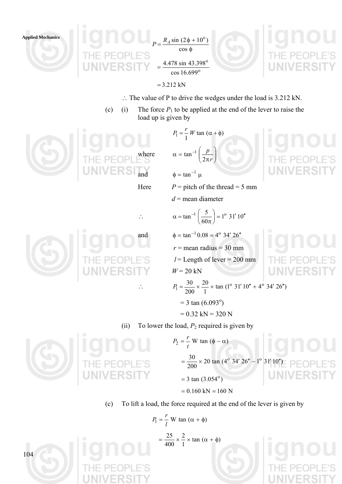

 $P = \frac{R_A \sin (2\phi + 10^{\circ})}{\cos \phi}$  $\frac{4.476 \text{ }\sin 45.55}{20816.6000}$  $=\frac{4.478 \sin 43.398^{\circ}}{4.478 \sin 43.398^{\circ}}$ cos 16.699



- ∴ The value of P to drive the wedges under the load is 3.212 kN.
- (c) (i) The force  $P_1$  to be applied at the end of the lever to raise the load up is given by



 $P_1 = \frac{r}{1} W \tan (\alpha + \phi)$ where  $\alpha = \tan^{-1} \left| \frac{P}{2\pi r} \right|$ ⎠ ⎞  $\overline{\phantom{a}}$ ⎝  $\big($ π  $\alpha = \tan^{-1}$ *r p* 2  $tan^{-1}$ 

and  $\phi = \tan^{-1} \mu$ 

Here  $P =$  pitch of the thread = 5 mm

*d* = mean diameter

 $\big($ 



 $\alpha = \tan^{-1} \left| \frac{3}{10} \right| = 1^{\circ} 31' 10$ 60  $\tan^{-1}\left(\frac{5}{60\pi}\right) = 1^{\circ} 31' 10''$ ⎝ π  $\alpha = \tan^{-1}$ and  $\phi = \tan^{-1} 0.08 = 4^{\circ} 34' 26''$  $r =$  mean radius = 30 mm  $l =$ Length of lever = 200 mm  $W = 20$  kN ∴  $P_1 = \frac{30}{200} \times \frac{20}{1} \times \tan(1^{\circ} 31' 10'' + 4^{\circ} 34' 26'')$  $P_1 = \frac{30}{200} \times \frac{20}{1} \times \tan(1^{\circ} 31' 10'' + 4^{\circ} 34' 26''$  $= 3 \tan (6.093^{\circ})$ 

$$
= 0.32 \text{ kN} = 320 \text{ N}
$$

(ii) To lower the load,  $P_2$  required is given by

 $P_2 = \frac{1}{t} W \tan{(\phi - \alpha)}$  $P_2 = \frac{r}{r}$  $=\frac{30}{200} \times 20 \tan (4^{\circ} 34' 26'' - 1^{\circ} 31' 10'')$  $=$  3 tan  $(3.054^{\circ})$  $= 0.160$  kN  $= 160$  N

(c) To lift a load, the force required at the end of the lever is given by

$$
P_1 = \frac{r}{l} \text{ W tan }(\alpha + \phi)
$$

$$
= \frac{25}{400} \times \frac{2}{1} \times \tan (\alpha + \phi)
$$